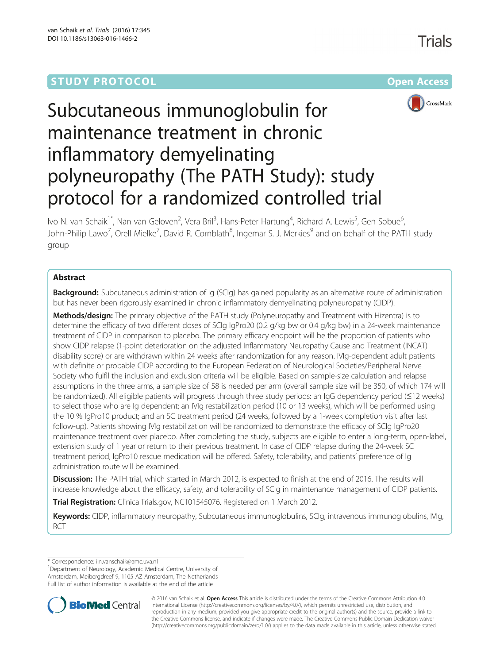# **STUDY PROTOCOL CONSUMING THE RESERVE ACCESS**





# Subcutaneous immunoglobulin for maintenance treatment in chronic inflammatory demyelinating polyneuropathy (The PATH Study): study protocol for a randomized controlled trial

lvo N. van Schaik<sup>1\*</sup>, Nan van Geloven<sup>2</sup>, Vera Bril<sup>3</sup>, Hans-Peter Hartung<sup>4</sup>, Richard A. Lewis<sup>5</sup>, Gen Sobue<sup>6</sup> י<br>, John-Philip Lawo<sup>7</sup>, Orell Mielke<sup>7</sup>, David R. Cornblath<sup>8</sup>, Ingemar S. J. Merkies<sup>9</sup> and on behalf of the PATH study group

# Abstract

**Background:** Subcutaneous administration of Ig (SCIg) has gained popularity as an alternative route of administration but has never been rigorously examined in chronic inflammatory demyelinating polyneuropathy (CIDP).

Methods/design: The primary objective of the PATH study (Polyneuropathy and Treatment with Hizentra) is to determine the efficacy of two different doses of SCIg IgPro20 (0.2 g/kg bw or 0.4 g/kg bw) in a 24-week maintenance treatment of CIDP in comparison to placebo. The primary efficacy endpoint will be the proportion of patients who show CIDP relapse (1-point deterioration on the adjusted Inflammatory Neuropathy Cause and Treatment (INCAT) disability score) or are withdrawn within 24 weeks after randomization for any reason. IVIg-dependent adult patients with definite or probable CIDP according to the European Federation of Neurological Societies/Peripheral Nerve Society who fulfil the inclusion and exclusion criteria will be eligible. Based on sample-size calculation and relapse assumptions in the three arms, a sample size of 58 is needed per arm (overall sample size will be 350, of which 174 will be randomized). All eligible patients will progress through three study periods: an IgG dependency period (≤12 weeks) to select those who are Ig dependent; an IVIg restabilization period (10 or 13 weeks), which will be performed using the 10 % IgPro10 product; and an SC treatment period (24 weeks, followed by a 1-week completion visit after last follow-up). Patients showing IVIg restabilization will be randomized to demonstrate the efficacy of SCIg IgPro20 maintenance treatment over placebo. After completing the study, subjects are eligible to enter a long-term, open-label, extension study of 1 year or return to their previous treatment. In case of CIDP relapse during the 24-week SC treatment period, IgPro10 rescue medication will be offered. Safety, tolerability, and patients' preference of Ig administration route will be examined.

Discussion: The PATH trial, which started in March 2012, is expected to finish at the end of 2016. The results will increase knowledge about the efficacy, safety, and tolerability of SCIg in maintenance management of CIDP patients.

**Trial Registration:** ClinicalTrials.gov, [NCT01545076.](https://clinicaltrials.gov/ct2/show/NCT01545076) Registered on 1 March 2012.

Keywords: CIDP, inflammatory neuropathy, Subcutaneous immunoglobulins, SCIq, intravenous immunoglobulins, IVIq, RCT

\* Correspondence: [i.n.vanschaik@amc.uva.nl](mailto:i.n.vanschaik@amc.uva.nl) <sup>1</sup>

<sup>1</sup>Department of Neurology, Academic Medical Centre, University of Amsterdam, Meibergdreef 9, 1105 AZ Amsterdam, The Netherlands Full list of author information is available at the end of the article



© 2016 van Schaik et al. Open Access This article is distributed under the terms of the Creative Commons Attribution 4.0 International License [\(http://creativecommons.org/licenses/by/4.0/](http://creativecommons.org/licenses/by/4.0/)), which permits unrestricted use, distribution, and reproduction in any medium, provided you give appropriate credit to the original author(s) and the source, provide a link to the Creative Commons license, and indicate if changes were made. The Creative Commons Public Domain Dedication waiver [\(http://creativecommons.org/publicdomain/zero/1.0/](http://creativecommons.org/publicdomain/zero/1.0/)) applies to the data made available in this article, unless otherwise stated.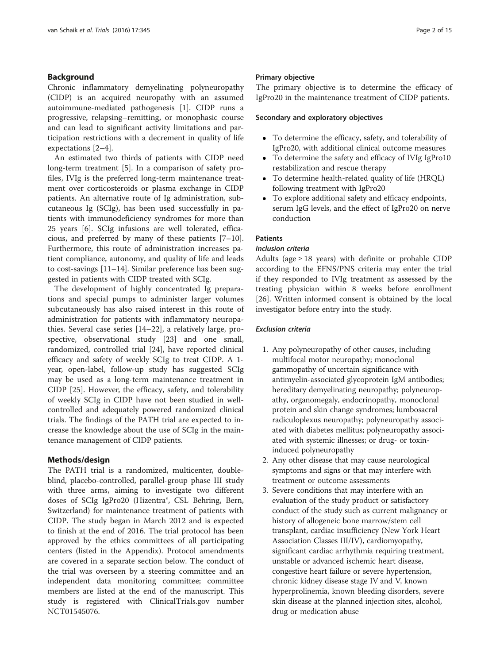# Background

Chronic inflammatory demyelinating polyneuropathy (CIDP) is an acquired neuropathy with an assumed autoimmune-mediated pathogenesis [\[1](#page-13-0)]. CIDP runs a progressive, relapsing–remitting, or monophasic course and can lead to significant activity limitations and participation restrictions with a decrement in quality of life expectations [[2](#page-13-0)–[4](#page-13-0)].

An estimated two thirds of patients with CIDP need long-term treatment [\[5](#page-13-0)]. In a comparison of safety profiles, IVIg is the preferred long-term maintenance treatment over corticosteroids or plasma exchange in CIDP patients. An alternative route of Ig administration, subcutaneous Ig (SCIg), has been used successfully in patients with immunodeficiency syndromes for more than 25 years [[6\]](#page-13-0). SCIg infusions are well tolerated, efficacious, and preferred by many of these patients [[7](#page-13-0)–[10](#page-13-0)]. Furthermore, this route of administration increases patient compliance, autonomy, and quality of life and leads to cost-savings [[11](#page-13-0)–[14](#page-13-0)]. Similar preference has been suggested in patients with CIDP treated with SCIg.

The development of highly concentrated Ig preparations and special pumps to administer larger volumes subcutaneously has also raised interest in this route of administration for patients with inflammatory neuropathies. Several case series [[14](#page-13-0)–[22](#page-13-0)], a relatively large, prospective, observational study [\[23](#page-13-0)] and one small, randomized, controlled trial [[24\]](#page-13-0), have reported clinical efficacy and safety of weekly SCIg to treat CIDP. A 1 year, open-label, follow-up study has suggested SCIg may be used as a long-term maintenance treatment in CIDP [\[25](#page-13-0)]. However, the efficacy, safety, and tolerability of weekly SCIg in CIDP have not been studied in wellcontrolled and adequately powered randomized clinical trials. The findings of the PATH trial are expected to increase the knowledge about the use of SCIg in the maintenance management of CIDP patients.

# Methods/design

The PATH trial is a randomized, multicenter, doubleblind, placebo-controlled, parallel-group phase III study with three arms, aiming to investigate two different doses of SCIg IgPro20 (Hizentra®, CSL Behring, Bern, Switzerland) for maintenance treatment of patients with CIDP. The study began in March 2012 and is expected to finish at the end of 2016. The trial protocol has been approved by the ethics committees of all participating centers (listed in the [Appendix](#page-10-0)). Protocol amendments are covered in a separate section below. The conduct of the trial was overseen by a steering committee and an independent data monitoring committee; committee members are listed at the end of the manuscript. This study is registered with ClinicalTrials.gov number NCT01545076.

# Primary objective

The primary objective is to determine the efficacy of IgPro20 in the maintenance treatment of CIDP patients.

# Secondary and exploratory objectives

- To determine the efficacy, safety, and tolerability of IgPro20, with additional clinical outcome measures
- To determine the safety and efficacy of IVIg IgPro10 restabilization and rescue therapy
- To determine health-related quality of life (HRQL) following treatment with IgPro20
- To explore additional safety and efficacy endpoints, serum IgG levels, and the effect of IgPro20 on nerve conduction

# **Patients**

# Inclusion criteria

Adults (age  $\geq$  18 years) with definite or probable CIDP according to the EFNS/PNS criteria may enter the trial if they responded to IVIg treatment as assessed by the treating physician within 8 weeks before enrollment [[26\]](#page-13-0). Written informed consent is obtained by the local investigator before entry into the study.

# Exclusion criteria

- 1. Any polyneuropathy of other causes, including multifocal motor neuropathy; monoclonal gammopathy of uncertain significance with antimyelin-associated glycoprotein IgM antibodies; hereditary demyelinating neuropathy; polyneuropathy, organomegaly, endocrinopathy, monoclonal protein and skin change syndromes; lumbosacral radiculoplexus neuropathy; polyneuropathy associated with diabetes mellitus; polyneuropathy associated with systemic illnesses; or drug- or toxininduced polyneuropathy
- 2. Any other disease that may cause neurological symptoms and signs or that may interfere with treatment or outcome assessments
- 3. Severe conditions that may interfere with an evaluation of the study product or satisfactory conduct of the study such as current malignancy or history of allogeneic bone marrow/stem cell transplant, cardiac insufficiency (New York Heart Association Classes III/IV), cardiomyopathy, significant cardiac arrhythmia requiring treatment, unstable or advanced ischemic heart disease, congestive heart failure or severe hypertension, chronic kidney disease stage IV and V, known hyperprolinemia, known bleeding disorders, severe skin disease at the planned injection sites, alcohol, drug or medication abuse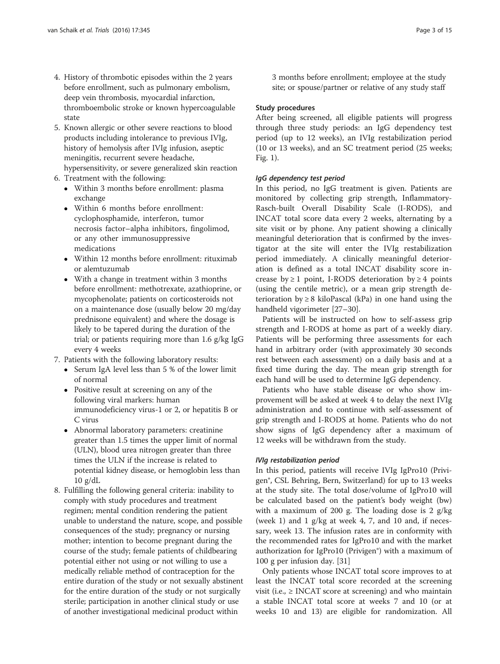- 4. History of thrombotic episodes within the 2 years before enrollment, such as pulmonary embolism, deep vein thrombosis, myocardial infarction, thromboembolic stroke or known hypercoagulable state
- 5. Known allergic or other severe reactions to blood products including intolerance to previous IVIg, history of hemolysis after IVIg infusion, aseptic meningitis, recurrent severe headache, hypersensitivity, or severe generalized skin reaction
- 6. Treatment with the following:
	- Within 3 months before enrollment: plasma exchange
	- Within 6 months before enrollment: cyclophosphamide, interferon, tumor necrosis factor–alpha inhibitors, fingolimod, or any other immunosuppressive medications
	- Within 12 months before enrollment: rituximab or alemtuzumab
	- With a change in treatment within 3 months before enrollment: methotrexate, azathioprine, or mycophenolate; patients on corticosteroids not on a maintenance dose (usually below 20 mg/day prednisone equivalent) and where the dosage is likely to be tapered during the duration of the trial; or patients requiring more than 1.6 g/kg IgG every 4 weeks
- 7. Patients with the following laboratory results:
	- Serum IgA level less than 5 % of the lower limit of normal
	- Positive result at screening on any of the following viral markers: human immunodeficiency virus-1 or 2, or hepatitis B or C virus
	- Abnormal laboratory parameters: creatinine greater than 1.5 times the upper limit of normal (ULN), blood urea nitrogen greater than three times the ULN if the increase is related to potential kidney disease, or hemoglobin less than 10 g/dL
- 8. Fulfilling the following general criteria: inability to comply with study procedures and treatment regimen; mental condition rendering the patient unable to understand the nature, scope, and possible consequences of the study; pregnancy or nursing mother; intention to become pregnant during the course of the study; female patients of childbearing potential either not using or not willing to use a medically reliable method of contraception for the entire duration of the study or not sexually abstinent for the entire duration of the study or not surgically sterile; participation in another clinical study or use of another investigational medicinal product within

3 months before enrollment; employee at the study site; or spouse/partner or relative of any study staff

# Study procedures

After being screened, all eligible patients will progress through three study periods: an IgG dependency test period (up to 12 weeks), an IVIg restabilization period (10 or 13 weeks), and an SC treatment period (25 weeks; Fig. [1](#page-3-0)).

# IgG dependency test period

In this period, no IgG treatment is given. Patients are monitored by collecting grip strength, Inflammatory-Rasch-built Overall Disability Scale (I-RODS), and INCAT total score data every 2 weeks, alternating by a site visit or by phone. Any patient showing a clinically meaningful deterioration that is confirmed by the investigator at the site will enter the IVIg restabilization period immediately. A clinically meaningful deterioration is defined as a total INCAT disability score increase by  $\geq 1$  point, I-RODS deterioration by  $\geq 4$  points (using the centile metric), or a mean grip strength deterioration by  $\geq 8$  kiloPascal (kPa) in one hand using the handheld vigorimeter [[27](#page-13-0)–[30](#page-13-0)].

Patients will be instructed on how to self-assess grip strength and I-RODS at home as part of a weekly diary. Patients will be performing three assessments for each hand in arbitrary order (with approximately 30 seconds rest between each assessment) on a daily basis and at a fixed time during the day. The mean grip strength for each hand will be used to determine IgG dependency.

Patients who have stable disease or who show improvement will be asked at week 4 to delay the next IVIg administration and to continue with self-assessment of grip strength and I-RODS at home. Patients who do not show signs of IgG dependency after a maximum of 12 weeks will be withdrawn from the study.

# IVIg restabilization period

In this period, patients will receive IVIg IgPro10 (Privigen®, CSL Behring, Bern, Switzerland) for up to 13 weeks at the study site. The total dose/volume of IgPro10 will be calculated based on the patient's body weight (bw) with a maximum of 200 g. The loading dose is 2 g/kg (week 1) and 1 g/kg at week 4, 7, and 10 and, if necessary, week 13. The infusion rates are in conformity with the recommended rates for IgPro10 and with the market authorization for IgPro10 (Privigen®) with a maximum of 100 g per infusion day. [[31](#page-13-0)]

Only patients whose INCAT total score improves to at least the INCAT total score recorded at the screening visit (i.e.,  $\geq$  INCAT score at screening) and who maintain a stable INCAT total score at weeks 7 and 10 (or at weeks 10 and 13) are eligible for randomization. All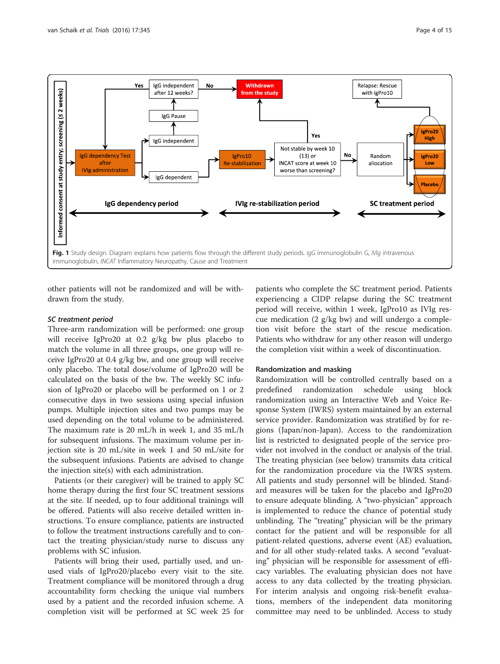<span id="page-3-0"></span>

other patients will not be randomized and will be withdrawn from the study.

#### SC treatment period

Three-arm randomization will be performed: one group will receive IgPro20 at 0.2 g/kg bw plus placebo to match the volume in all three groups, one group will receive IgPro20 at 0.4 g/kg bw, and one group will receive only placebo. The total dose/volume of IgPro20 will be calculated on the basis of the bw. The weekly SC infusion of IgPro20 or placebo will be performed on 1 or 2 consecutive days in two sessions using special infusion pumps. Multiple injection sites and two pumps may be used depending on the total volume to be administered. The maximum rate is 20 mL/h in week 1, and 35 mL/h for subsequent infusions. The maximum volume per injection site is 20 mL/site in week 1 and 50 mL/site for the subsequent infusions. Patients are advised to change the injection site(s) with each administration.

Patients (or their caregiver) will be trained to apply SC home therapy during the first four SC treatment sessions at the site. If needed, up to four additional trainings will be offered. Patients will also receive detailed written instructions. To ensure compliance, patients are instructed to follow the treatment instructions carefully and to contact the treating physician/study nurse to discuss any problems with SC infusion.

Patients will bring their used, partially used, and unused vials of IgPro20/placebo every visit to the site. Treatment compliance will be monitored through a drug accountability form checking the unique vial numbers used by a patient and the recorded infusion scheme. A completion visit will be performed at SC week 25 for

patients who complete the SC treatment period. Patients experiencing a CIDP relapse during the SC treatment period will receive, within 1 week, IgPro10 as IVIg rescue medication (2 g/kg bw) and will undergo a completion visit before the start of the rescue medication. Patients who withdraw for any other reason will undergo the completion visit within a week of discontinuation.

#### Randomization and masking

Randomization will be controlled centrally based on a predefined randomization schedule using block randomization using an Interactive Web and Voice Response System (IWRS) system maintained by an external service provider. Randomization was stratified by for regions (Japan/non-Japan). Access to the randomization list is restricted to designated people of the service provider not involved in the conduct or analysis of the trial. The treating physician (see below) transmits data critical for the randomization procedure via the IWRS system. All patients and study personnel will be blinded. Standard measures will be taken for the placebo and IgPro20 to ensure adequate blinding. A "two-physician" approach is implemented to reduce the chance of potential study unblinding. The "treating" physician will be the primary contact for the patient and will be responsible for all patient-related questions, adverse event (AE) evaluation, and for all other study-related tasks. A second "evaluating" physician will be responsible for assessment of efficacy variables. The evaluating physician does not have access to any data collected by the treating physician. For interim analysis and ongoing risk-benefit evaluations, members of the independent data monitoring committee may need to be unblinded. Access to study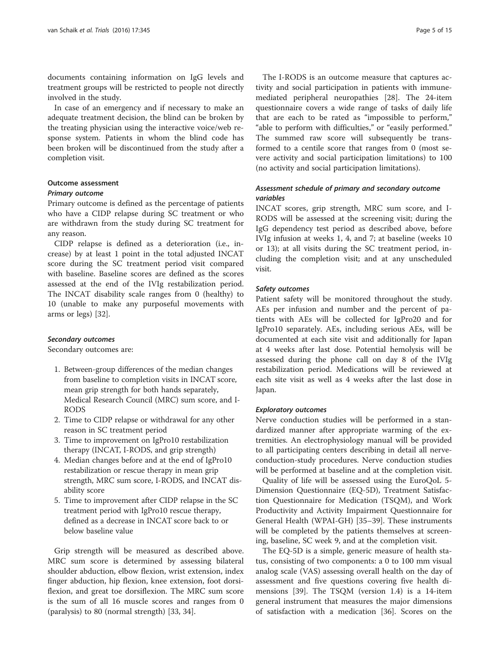documents containing information on IgG levels and treatment groups will be restricted to people not directly involved in the study.

In case of an emergency and if necessary to make an adequate treatment decision, the blind can be broken by the treating physician using the interactive voice/web response system. Patients in whom the blind code has been broken will be discontinued from the study after a completion visit.

#### Outcome assessment

# Primary outcome

Primary outcome is defined as the percentage of patients who have a CIDP relapse during SC treatment or who are withdrawn from the study during SC treatment for any reason.

CIDP relapse is defined as a deterioration (i.e., increase) by at least 1 point in the total adjusted INCAT score during the SC treatment period visit compared with baseline. Baseline scores are defined as the scores assessed at the end of the IVIg restabilization period. The INCAT disability scale ranges from 0 (healthy) to 10 (unable to make any purposeful movements with arms or legs) [\[32\]](#page-14-0).

#### Secondary outcomes

Secondary outcomes are:

- 1. Between-group differences of the median changes from baseline to completion visits in INCAT score, mean grip strength for both hands separately, Medical Research Council (MRC) sum score, and I-RODS
- 2. Time to CIDP relapse or withdrawal for any other reason in SC treatment period
- 3. Time to improvement on IgPro10 restabilization therapy (INCAT, I-RODS, and grip strength)
- 4. Median changes before and at the end of IgPro10 restabilization or rescue therapy in mean grip strength, MRC sum score, I-RODS, and INCAT disability score
- 5. Time to improvement after CIDP relapse in the SC treatment period with IgPro10 rescue therapy, defined as a decrease in INCAT score back to or below baseline value

Grip strength will be measured as described above. MRC sum score is determined by assessing bilateral shoulder abduction, elbow flexion, wrist extension, index finger abduction, hip flexion, knee extension, foot dorsiflexion, and great toe dorsiflexion. The MRC sum score is the sum of all 16 muscle scores and ranges from 0 (paralysis) to 80 (normal strength) [\[33, 34\]](#page-14-0).

The I-RODS is an outcome measure that captures activity and social participation in patients with immunemediated peripheral neuropathies [\[28\]](#page-13-0). The 24-item questionnaire covers a wide range of tasks of daily life that are each to be rated as "impossible to perform," "able to perform with difficulties," or "easily performed." The summed raw score will subsequently be transformed to a centile score that ranges from 0 (most severe activity and social participation limitations) to 100 (no activity and social participation limitations).

# Assessment schedule of primary and secondary outcome variables

INCAT scores, grip strength, MRC sum score, and I-RODS will be assessed at the screening visit; during the IgG dependency test period as described above, before IVIg infusion at weeks 1, 4, and 7; at baseline (weeks 10 or 13); at all visits during the SC treatment period, including the completion visit; and at any unscheduled visit.

#### Safety outcomes

Patient safety will be monitored throughout the study. AEs per infusion and number and the percent of patients with AEs will be collected for IgPro20 and for IgPro10 separately. AEs, including serious AEs, will be documented at each site visit and additionally for Japan at 4 weeks after last dose. Potential hemolysis will be assessed during the phone call on day 8 of the IVIg restabilization period. Medications will be reviewed at each site visit as well as 4 weeks after the last dose in Japan.

#### Exploratory outcomes

Nerve conduction studies will be performed in a standardized manner after appropriate warming of the extremities. An electrophysiology manual will be provided to all participating centers describing in detail all nerveconduction-study procedures. Nerve conduction studies will be performed at baseline and at the completion visit.

Quality of life will be assessed using the EuroQoL 5- Dimension Questionnaire (EQ-5D), Treatment Satisfaction Questionnaire for Medication (TSQM), and Work Productivity and Activity Impairment Questionnaire for General Health (WPAI-GH) [[35](#page-14-0)–[39](#page-14-0)]. These instruments will be completed by the patients themselves at screening, baseline, SC week 9, and at the completion visit.

The EQ-5D is a simple, generic measure of health status, consisting of two components: a 0 to 100 mm visual analog scale (VAS) assessing overall health on the day of assessment and five questions covering five health dimensions [[39\]](#page-14-0). The TSQM (version 1.4) is a 14-item general instrument that measures the major dimensions of satisfaction with a medication [[36\]](#page-14-0). Scores on the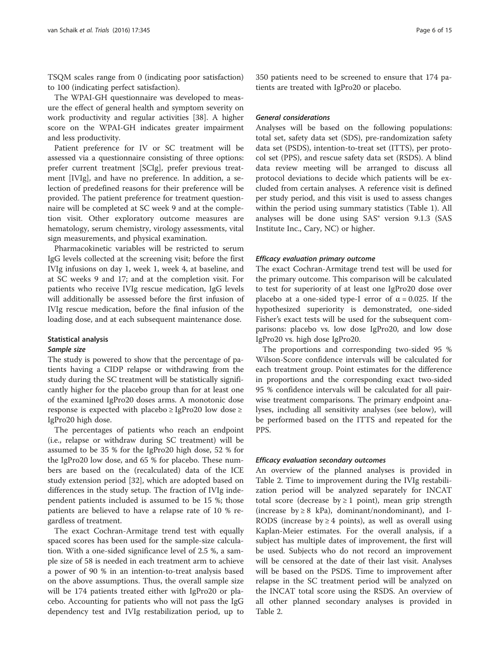TSQM scales range from 0 (indicating poor satisfaction) to 100 (indicating perfect satisfaction).

The WPAI-GH questionnaire was developed to measure the effect of general health and symptom severity on work productivity and regular activities [[38\]](#page-14-0). A higher score on the WPAI-GH indicates greater impairment and less productivity.

Patient preference for IV or SC treatment will be assessed via a questionnaire consisting of three options: prefer current treatment [SCIg], prefer previous treatment [IVIg], and have no preference. In addition, a selection of predefined reasons for their preference will be provided. The patient preference for treatment questionnaire will be completed at SC week 9 and at the completion visit. Other exploratory outcome measures are hematology, serum chemistry, virology assessments, vital sign measurements, and physical examination.

Pharmacokinetic variables will be restricted to serum IgG levels collected at the screening visit; before the first IVIg infusions on day 1, week 1, week 4, at baseline, and at SC weeks 9 and 17; and at the completion visit. For patients who receive IVIg rescue medication, IgG levels will additionally be assessed before the first infusion of IVIg rescue medication, before the final infusion of the loading dose, and at each subsequent maintenance dose.

# Statistical analysis

#### Sample size

The study is powered to show that the percentage of patients having a CIDP relapse or withdrawing from the study during the SC treatment will be statistically significantly higher for the placebo group than for at least one of the examined IgPro20 doses arms. A monotonic dose response is expected with placebo ≥ IgPro20 low dose ≥ IgPro20 high dose.

The percentages of patients who reach an endpoint (i.e., relapse or withdraw during SC treatment) will be assumed to be 35 % for the IgPro20 high dose, 52 % for the IgPro20 low dose, and 65 % for placebo. These numbers are based on the (recalculated) data of the ICE study extension period [\[32](#page-14-0)], which are adopted based on differences in the study setup. The fraction of IVIg independent patients included is assumed to be 15 %; those patients are believed to have a relapse rate of 10 % regardless of treatment.

The exact Cochran-Armitage trend test with equally spaced scores has been used for the sample-size calculation. With a one-sided significance level of 2.5 %, a sample size of 58 is needed in each treatment arm to achieve a power of 90 % in an intention-to-treat analysis based on the above assumptions. Thus, the overall sample size will be 174 patients treated either with IgPro20 or placebo. Accounting for patients who will not pass the IgG dependency test and IVIg restabilization period, up to

350 patients need to be screened to ensure that 174 patients are treated with IgPro20 or placebo.

# General considerations

Analyses will be based on the following populations: total set, safety data set (SDS), pre-randomization safety data set (PSDS), intention-to-treat set (ITTS), per protocol set (PPS), and rescue safety data set (RSDS). A blind data review meeting will be arranged to discuss all protocol deviations to decide which patients will be excluded from certain analyses. A reference visit is defined per study period, and this visit is used to assess changes within the period using summary statistics (Table [1\)](#page-6-0). All analyses will be done using SAS® version 9.1.3 (SAS Institute Inc., Cary, NC) or higher.

#### Efficacy evaluation primary outcome

The exact Cochran-Armitage trend test will be used for the primary outcome. This comparison will be calculated to test for superiority of at least one IgPro20 dose over placebo at a one-sided type-I error of  $\alpha = 0.025$ . If the hypothesized superiority is demonstrated, one-sided Fisher's exact tests will be used for the subsequent comparisons: placebo vs. low dose IgPro20, and low dose IgPro20 vs. high dose IgPro20.

The proportions and corresponding two-sided 95 % Wilson-Score confidence intervals will be calculated for each treatment group. Point estimates for the difference in proportions and the corresponding exact two-sided 95 % confidence intervals will be calculated for all pairwise treatment comparisons. The primary endpoint analyses, including all sensitivity analyses (see below), will be performed based on the ITTS and repeated for the PPS.

#### Efficacy evaluation secondary outcomes

An overview of the planned analyses is provided in Table [2](#page-7-0). Time to improvement during the IVIg restabilization period will be analyzed separately for INCAT total score (decrease by  $\geq 1$  point), mean grip strength (increase by  $\geq 8$  kPa), dominant/nondominant), and I-RODS (increase by  $\geq$  4 points), as well as overall using Kaplan-Meier estimates. For the overall analysis, if a subject has multiple dates of improvement, the first will be used. Subjects who do not record an improvement will be censored at the date of their last visit. Analyses will be based on the PSDS. Time to improvement after relapse in the SC treatment period will be analyzed on the INCAT total score using the RSDS. An overview of all other planned secondary analyses is provided in Table [2.](#page-7-0)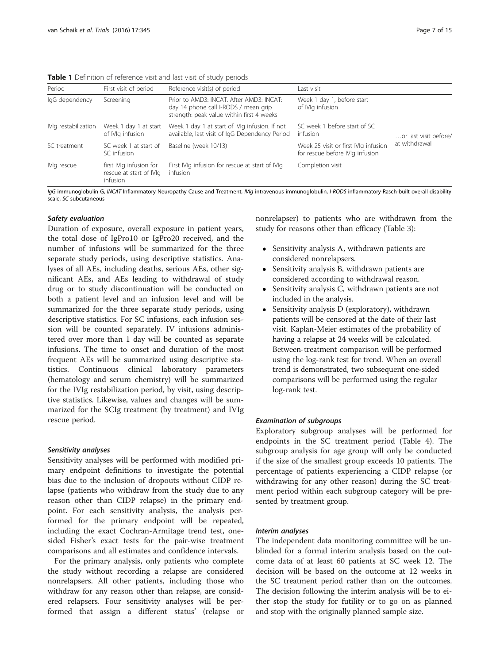<span id="page-6-0"></span>Table 1 Definition of reference visit and last visit of study periods

| Period               | First visit of period                                          | Reference visit(s) of period                                                                                                  | Last visit                                                              |                       |
|----------------------|----------------------------------------------------------------|-------------------------------------------------------------------------------------------------------------------------------|-------------------------------------------------------------------------|-----------------------|
| IgG dependency       | Screening                                                      | Prior to AMD3: INCAT. After AMD3: INCAT:<br>day 14 phone call I-RODS / mean grip<br>strength: peak value within first 4 weeks | Week 1 day 1, before start<br>of IVIq infusion                          |                       |
| IVIg restabilization | Week 1 day 1 at start<br>of IVIq infusion                      | Week 1 day 1 at start of IVIg infusion. If not<br>available, last visit of IgG Dependency Period                              | SC week 1 before start of SC<br>infusion                                | or last visit before/ |
| SC treatment         | SC week 1 at start of<br>SC infusion                           | Baseline (week 10/13)                                                                                                         | Week 25 visit or first IVIg infusion<br>for rescue before IVIg infusion | at withdrawal         |
| IVIg rescue          | first IVIg infusion for<br>rescue at start of IVIg<br>infusion | First Mg infusion for rescue at start of Mg<br>infusion                                                                       | Completion visit                                                        |                       |

IgG immunoglobulin G, INCAT Inflammatory Neuropathy Cause and Treatment, IVIg intravenous immunoglobulin, I-RODS inflammatory-Rasch-built overall disability scale, SC subcutaneous

# Safety evaluation

Duration of exposure, overall exposure in patient years, the total dose of IgPro10 or IgPro20 received, and the number of infusions will be summarized for the three separate study periods, using descriptive statistics. Analyses of all AEs, including deaths, serious AEs, other significant AEs, and AEs leading to withdrawal of study drug or to study discontinuation will be conducted on both a patient level and an infusion level and will be summarized for the three separate study periods, using descriptive statistics. For SC infusions, each infusion session will be counted separately. IV infusions administered over more than 1 day will be counted as separate infusions. The time to onset and duration of the most frequent AEs will be summarized using descriptive statistics. Continuous clinical laboratory parameters (hematology and serum chemistry) will be summarized for the IVIg restabilization period, by visit, using descriptive statistics. Likewise, values and changes will be summarized for the SCIg treatment (by treatment) and IVIg rescue period.

#### Sensitivity analyses

Sensitivity analyses will be performed with modified primary endpoint definitions to investigate the potential bias due to the inclusion of dropouts without CIDP relapse (patients who withdraw from the study due to any reason other than CIDP relapse) in the primary endpoint. For each sensitivity analysis, the analysis performed for the primary endpoint will be repeated, including the exact Cochran-Armitage trend test, onesided Fisher's exact tests for the pair-wise treatment comparisons and all estimates and confidence intervals.

For the primary analysis, only patients who complete the study without recording a relapse are considered nonrelapsers. All other patients, including those who withdraw for any reason other than relapse, are considered relapsers. Four sensitivity analyses will be performed that assign a different status' (relapse or

nonrelapser) to patients who are withdrawn from the study for reasons other than efficacy (Table [3](#page-8-0)):

- Sensitivity analysis A, withdrawn patients are considered nonrelapsers.
- Sensitivity analysis B, withdrawn patients are considered according to withdrawal reason.
- Sensitivity analysis C, withdrawn patients are not included in the analysis.
- Sensitivity analysis D (exploratory), withdrawn patients will be censored at the date of their last visit. Kaplan-Meier estimates of the probability of having a relapse at 24 weeks will be calculated. Between-treatment comparison will be performed using the log-rank test for trend. When an overall trend is demonstrated, two subsequent one-sided comparisons will be performed using the regular log-rank test.

#### Examination of subgroups

Exploratory subgroup analyses will be performed for endpoints in the SC treatment period (Table [4\)](#page-8-0). The subgroup analysis for age group will only be conducted if the size of the smallest group exceeds 10 patients. The percentage of patients experiencing a CIDP relapse (or withdrawing for any other reason) during the SC treatment period within each subgroup category will be presented by treatment group.

# Interim analyses

The independent data monitoring committee will be unblinded for a formal interim analysis based on the outcome data of at least 60 patients at SC week 12. The decision will be based on the outcome at 12 weeks in the SC treatment period rather than on the outcomes. The decision following the interim analysis will be to either stop the study for futility or to go on as planned and stop with the originally planned sample size.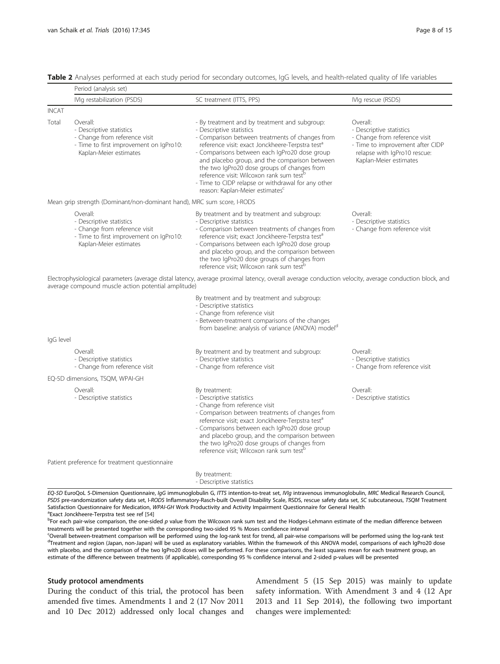<span id="page-7-0"></span>Table 2 Analyses performed at each study period for secondary outcomes, IgG levels, and health-related quality of life variables

|              | Period (analysis set)                                                                                                                      |                                                                                                                                                                                                                                                                                                                                                                                                                                                                                                            |                                                                                                                                                                     |  |  |  |  |
|--------------|--------------------------------------------------------------------------------------------------------------------------------------------|------------------------------------------------------------------------------------------------------------------------------------------------------------------------------------------------------------------------------------------------------------------------------------------------------------------------------------------------------------------------------------------------------------------------------------------------------------------------------------------------------------|---------------------------------------------------------------------------------------------------------------------------------------------------------------------|--|--|--|--|
|              | IVIg restabilization (PSDS)                                                                                                                | SC treatment (ITTS, PPS)                                                                                                                                                                                                                                                                                                                                                                                                                                                                                   | IVIg rescue (RSDS)                                                                                                                                                  |  |  |  |  |
| <b>INCAT</b> |                                                                                                                                            |                                                                                                                                                                                                                                                                                                                                                                                                                                                                                                            |                                                                                                                                                                     |  |  |  |  |
| Total        | Overall:<br>- Descriptive statistics<br>- Change from reference visit<br>- Time to first improvement on IgPro10:<br>Kaplan-Meier estimates | - By treatment and by treatment and subgroup:<br>- Descriptive statistics<br>- Comparison between treatments of changes from<br>reference visit: exact Jonckheere-Terpstra test <sup>a</sup><br>- Comparisons between each IgPro20 dose group<br>and placebo group, and the comparison between<br>the two IgPro20 dose groups of changes from<br>reference visit: Wilcoxon rank sum test <sup>b</sup><br>- Time to CIDP relapse or withdrawal for any other<br>reason: Kaplan-Meier estimates <sup>c</sup> | Overall:<br>- Descriptive statistics<br>- Change from reference visit<br>- Time to improvement after CIDP<br>relapse with IgPro10 rescue:<br>Kaplan-Meier estimates |  |  |  |  |
|              | Mean grip strength (Dominant/non-dominant hand), MRC sum score, I-RODS                                                                     |                                                                                                                                                                                                                                                                                                                                                                                                                                                                                                            |                                                                                                                                                                     |  |  |  |  |
|              | Overall:<br>- Descriptive statistics<br>- Change from reference visit<br>- Time to first improvement on IgPro10:<br>Kaplan-Meier estimates | By treatment and by treatment and subgroup:<br>- Descriptive statistics<br>- Comparison between treatments of changes from<br>reference visit; exact Jonckheere-Terpstra test <sup>a</sup><br>- Comparisons between each IgPro20 dose group<br>and placebo group, and the comparison between<br>the two IgPro20 dose groups of changes from<br>reference visit: Wilcoxon rank sum test <sup>b</sup>                                                                                                        | Overall:<br>- Descriptive statistics<br>- Change from reference visit                                                                                               |  |  |  |  |
|              | average compound muscle action potential amplitude)                                                                                        | Electrophysiological parameters (average distal latency, average proximal latency, overall average conduction velocity, average conduction block, and                                                                                                                                                                                                                                                                                                                                                      |                                                                                                                                                                     |  |  |  |  |
|              |                                                                                                                                            | By treatment and by treatment and subgroup:<br>- Descriptive statistics<br>- Change from reference visit<br>- Between-treatment comparisons of the changes                                                                                                                                                                                                                                                                                                                                                 |                                                                                                                                                                     |  |  |  |  |

IgG level

| Overall:<br>- Descriptive statistics<br>- Change from reference visit | By treatment and by treatment and subgroup:<br>- Descriptive statistics<br>- Change from reference visit                                                                                                                                                                                                                                                                                               | Overall:<br>- Descriptive statistics<br>- Change from reference visit |
|-----------------------------------------------------------------------|--------------------------------------------------------------------------------------------------------------------------------------------------------------------------------------------------------------------------------------------------------------------------------------------------------------------------------------------------------------------------------------------------------|-----------------------------------------------------------------------|
| EQ-5D dimensions, TSQM, WPAI-GH                                       |                                                                                                                                                                                                                                                                                                                                                                                                        |                                                                       |
| Overall:<br>- Descriptive statistics                                  | By treatment:<br>- Descriptive statistics<br>- Change from reference visit<br>- Comparison between treatments of changes from<br>reference visit; exact Jonckheere-Terpstra test <sup>a</sup><br>- Comparisons between each IgPro20 dose group<br>and placebo group, and the comparison between<br>the two IgPro20 dose groups of changes from<br>reference visit; Wilcoxon rank sum test <sup>b</sup> | Overall:<br>- Descriptive statistics                                  |
| Patient preference for treatment questionnaire                        |                                                                                                                                                                                                                                                                                                                                                                                                        |                                                                       |
|                                                                       | By treatment:<br>- Descriptive statistics                                                                                                                                                                                                                                                                                                                                                              |                                                                       |

from baseline: analysis of variance (ANOVA) model<sup>d</sup>

EQ-5D EuroQoL 5-Dimension Questionnaire, IgG immunoglobulin G, ITTS intention-to-treat set, IVIg intravenous immunoglobulin, MRC Medical Research Council, PSDS pre-randomization safety data set, I-RODS Inflammatory-Rasch-built Overall Disability Scale, RSDS, rescue safety data set, SC subcutaneous, TSQM Treatment Satisfaction Questionnaire for Medication, WPAI-GH Work Productivity and Activity Impairment Questionnaire for General Health <sup>a</sup> Exact Jonckheere-Terpstra test see ref [[54\]](#page-14-0)

 $P$ For each pair-wise comparison, the one-sided p value from the Wilcoxon rank sum test and the Hodges-Lehmann estimate of the median difference between treatments will be presented together with the corresponding two-sided 95 % Moses confidence interval

Coverall between-treatment comparison will be performed using the log-rank test for trend, all pair-wise comparisons will be performed using the log-rank test<br>Treatment and region (Japan, pop-Japan) will be used as explana Treatment and region (Japan, non-Japan) will be used as explanatory variables. Within the framework of this ANOVA model, comparisons of each IgPro20 dose with placebo, and the comparison of the two IgPro20 doses will be performed. For these comparisons, the least squares mean for each treatment group, an estimate of the difference between treatments (if applicable), corresponding 95 % confidence interval and 2-sided p-values will be presented

#### Study protocol amendments

During the conduct of this trial, the protocol has been amended five times. Amendments 1 and 2 (17 Nov 2011 and 10 Dec 2012) addressed only local changes and Amendment 5 (15 Sep 2015) was mainly to update safety information. With Amendment 3 and 4 (12 Apr 2013 and 11 Sep 2014), the following two important changes were implemented: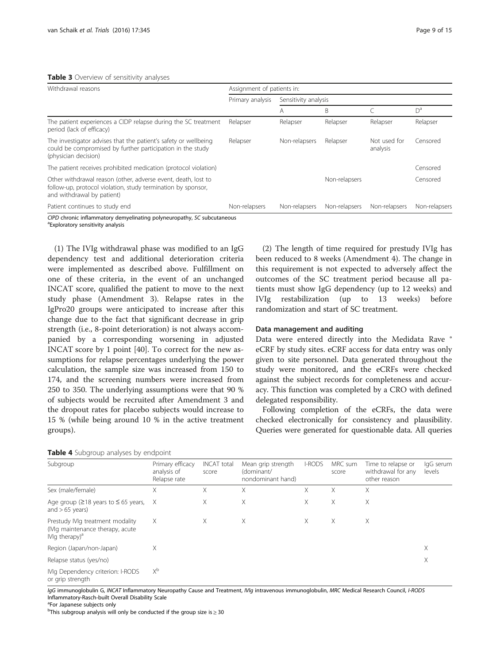<span id="page-8-0"></span>

| Table 3 Overview of sensitivity analyses |
|------------------------------------------|
|------------------------------------------|

| Withdrawal reasons                                                                                                                                          | Assignment of patients in: |                      |               |                          |                |  |  |
|-------------------------------------------------------------------------------------------------------------------------------------------------------------|----------------------------|----------------------|---------------|--------------------------|----------------|--|--|
|                                                                                                                                                             | Primary analysis           | Sensitivity analysis |               |                          |                |  |  |
|                                                                                                                                                             |                            | А                    | B             |                          | D <sup>a</sup> |  |  |
| The patient experiences a CIDP relapse during the SC treatment<br>period (lack of efficacy)                                                                 | Relapser                   | Relapser             | Relapser      | Relapser                 | Relapser       |  |  |
| The investigator advises that the patient's safety or wellbeing<br>could be compromised by further participation in the study<br>(physician decision)       | Relapser                   | Non-relapsers        | Relapser      | Not used for<br>analysis | Censored       |  |  |
| The patient receives prohibited medication (protocol violation)                                                                                             |                            |                      |               |                          | Censored       |  |  |
| Other withdrawal reason (other, adverse event, death, lost to<br>follow-up, protocol violation, study termination by sponsor,<br>and withdrawal by patient) |                            |                      | Non-relapsers |                          | Censored       |  |  |
| Patient continues to study end                                                                                                                              | Non-relapsers              | Non-relapsers        | Non-relapsers | Non-relapsers            | Non-relapsers  |  |  |

CIPD chronic inflammatory demyelinating polyneuropathy, SC subcutaneous

Exploratory sensitivity analysis

(1) The IVIg withdrawal phase was modified to an IgG dependency test and additional deterioration criteria were implemented as described above. Fulfillment on one of these criteria, in the event of an unchanged INCAT score, qualified the patient to move to the next study phase (Amendment 3). Relapse rates in the IgPro20 groups were anticipated to increase after this change due to the fact that significant decrease in grip strength (i.e., 8-point deterioration) is not always accompanied by a corresponding worsening in adjusted INCAT score by 1 point [[40\]](#page-14-0). To correct for the new assumptions for relapse percentages underlying the power calculation, the sample size was increased from 150 to 174, and the screening numbers were increased from 250 to 350. The underlying assumptions were that 90 % of subjects would be recruited after Amendment 3 and the dropout rates for placebo subjects would increase to 15 % (while being around 10 % in the active treatment groups).

|  | Table 4 Subgroup analyses by endpoint |  |  |  |
|--|---------------------------------------|--|--|--|
|--|---------------------------------------|--|--|--|

(2) The length of time required for prestudy IVIg has been reduced to 8 weeks (Amendment 4). The change in this requirement is not expected to adversely affect the outcomes of the SC treatment period because all patients must show IgG dependency (up to 12 weeks) and IVIg restabilization (up to 13 weeks) before randomization and start of SC treatment.

#### Data management and auditing

Data were entered directly into the Medidata Rave ® eCRF by study sites. eCRF access for data entry was only given to site personnel. Data generated throughout the study were monitored, and the eCRFs were checked against the subject records for completeness and accuracy. This function was completed by a CRO with defined delegated responsibility.

Following completion of the eCRFs, the data were checked electronically for consistency and plausibility. Queries were generated for questionable data. All queries

| Subgroup                                                                                  | Primary efficacy<br>analysis of<br>Relapse rate | <b>INCAT</b> total<br>score | Mean grip strength<br>(dominant/<br>nondominant hand) | <b>I-RODS</b> | MRC sum<br>score | Time to relapse or<br>withdrawal for any<br>other reason | lgG serum<br>levels |
|-------------------------------------------------------------------------------------------|-------------------------------------------------|-----------------------------|-------------------------------------------------------|---------------|------------------|----------------------------------------------------------|---------------------|
| Sex (male/female)                                                                         | Χ                                               | Χ                           | Χ                                                     | Χ             | X                | Χ                                                        |                     |
| Age group ( $\geq$ 18 years to $\leq$ 65 years, X<br>and $> 65$ years)                    |                                                 | Χ                           | X                                                     | Χ             | X                | Χ                                                        |                     |
| Prestudy IVIg treatment modality<br>(IVIg maintenance therapy, acute<br>IVIq therapy) $a$ | Χ                                               | Χ                           | X                                                     | Χ             | X                | Χ                                                        |                     |
| Region (Japan/non-Japan)                                                                  | X                                               |                             |                                                       |               |                  |                                                          | X                   |
| Relapse status (yes/no)                                                                   |                                                 |                             |                                                       |               |                  |                                                          | X                   |
| IVIg Dependency criterion: I-RODS<br>or grip strength                                     | $X^{\rm b}$                                     |                             |                                                       |               |                  |                                                          |                     |

IgG immunoglobulin G, INCAT Inflammatory Neuropathy Cause and Treatment, IVIg intravenous immunoglobulin, MRC Medical Research Council, I-RODS Inflammatory-Rasch-built Overall Disability Scale

<sup>a</sup>For Japanese subjects only

 $^{\text{b}}$ This subgroup analysis will only be conducted if the group size is  $\geq$  30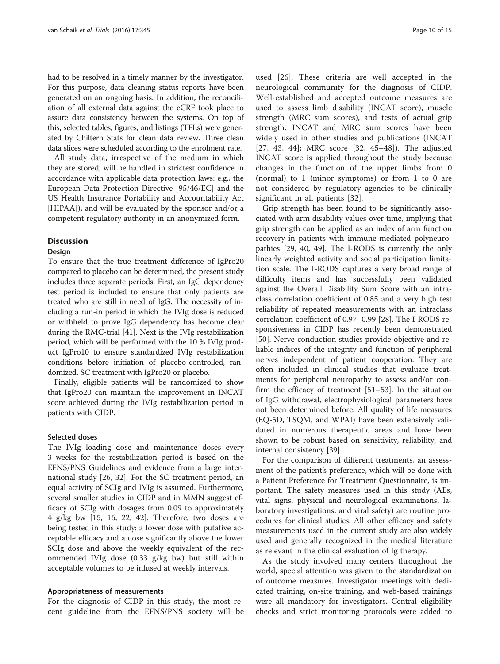had to be resolved in a timely manner by the investigator. For this purpose, data cleaning status reports have been generated on an ongoing basis. In addition, the reconciliation of all external data against the eCRF took place to assure data consistency between the systems. On top of this, selected tables, figures, and listings (TFLs) were generated by Chiltern Stats for clean data review. Three clean data slices were scheduled according to the enrolment rate.

All study data, irrespective of the medium in which they are stored, will be handled in strictest confidence in accordance with applicable data protection laws: e.g., the European Data Protection Directive [95/46/EC] and the US Health Insurance Portability and Accountability Act [HIPAA]), and will be evaluated by the sponsor and/or a competent regulatory authority in an anonymized form.

# **Discussion**

#### Design

To ensure that the true treatment difference of IgPro20 compared to placebo can be determined, the present study includes three separate periods. First, an IgG dependency test period is included to ensure that only patients are treated who are still in need of IgG. The necessity of including a run-in period in which the IVIg dose is reduced or withheld to prove IgG dependency has become clear during the RMC-trial [[41](#page-14-0)]. Next is the IVIg restabilization period, which will be performed with the 10 % IVIg product IgPro10 to ensure standardized IVIg restabilization conditions before initiation of placebo-controlled, randomized, SC treatment with IgPro20 or placebo.

Finally, eligible patients will be randomized to show that IgPro20 can maintain the improvement in INCAT score achieved during the IVIg restabilization period in patients with CIDP.

#### Selected doses

The IVIg loading dose and maintenance doses every 3 weeks for the restabilization period is based on the EFNS/PNS Guidelines and evidence from a large international study [[26,](#page-13-0) [32](#page-14-0)]. For the SC treatment period, an equal activity of SCIg and IVIg is assumed. Furthermore, several smaller studies in CIDP and in MMN suggest efficacy of SCIg with dosages from 0.09 to approximately 4 g/kg bw [\[15](#page-13-0), [16](#page-13-0), [22,](#page-13-0) [42\]](#page-14-0). Therefore, two doses are being tested in this study: a lower dose with putative acceptable efficacy and a dose significantly above the lower SCIg dose and above the weekly equivalent of the recommended IVIg dose (0.33 g/kg bw) but still within acceptable volumes to be infused at weekly intervals.

#### Appropriateness of measurements

For the diagnosis of CIDP in this study, the most recent guideline from the EFNS/PNS society will be

used [[26\]](#page-13-0). These criteria are well accepted in the neurological community for the diagnosis of CIDP. Well-established and accepted outcome measures are used to assess limb disability (INCAT score), muscle strength (MRC sum scores), and tests of actual grip strength. INCAT and MRC sum scores have been widely used in other studies and publications (INCAT [[27,](#page-13-0) [43, 44\]](#page-14-0); MRC score [\[32](#page-14-0), [45](#page-14-0)–[48](#page-14-0)]). The adjusted INCAT score is applied throughout the study because changes in the function of the upper limbs from 0 (normal) to 1 (minor symptoms) or from 1 to 0 are not considered by regulatory agencies to be clinically significant in all patients [\[32](#page-14-0)].

Grip strength has been found to be significantly associated with arm disability values over time, implying that grip strength can be applied as an index of arm function recovery in patients with immune-mediated polyneuropathies [\[29,](#page-13-0) [40](#page-14-0), [49\]](#page-14-0). The I-RODS is currently the only linearly weighted activity and social participation limitation scale. The I-RODS captures a very broad range of difficulty items and has successfully been validated against the Overall Disability Sum Score with an intraclass correlation coefficient of 0.85 and a very high test reliability of repeated measurements with an intraclass correlation coefficient of 0.97–0.99 [[28\]](#page-13-0). The I-RODS responsiveness in CIDP has recently been demonstrated [[50\]](#page-14-0). Nerve conduction studies provide objective and reliable indices of the integrity and function of peripheral nerves independent of patient cooperation. They are often included in clinical studies that evaluate treatments for peripheral neuropathy to assess and/or confirm the efficacy of treatment [[51](#page-14-0)–[53](#page-14-0)]. In the situation of IgG withdrawal, electrophysiological parameters have not been determined before. All quality of life measures (EQ-5D, TSQM, and WPAI) have been extensively validated in numerous therapeutic areas and have been shown to be robust based on sensitivity, reliability, and internal consistency [\[39\]](#page-14-0).

For the comparison of different treatments, an assessment of the patient's preference, which will be done with a Patient Preference for Treatment Questionnaire, is important. The safety measures used in this study (AEs, vital signs, physical and neurological examinations, laboratory investigations, and viral safety) are routine procedures for clinical studies. All other efficacy and safety measurements used in the current study are also widely used and generally recognized in the medical literature as relevant in the clinical evaluation of Ig therapy.

As the study involved many centers throughout the world, special attention was given to the standardization of outcome measures. Investigator meetings with dedicated training, on-site training, and web-based trainings were all mandatory for investigators. Central eligibility checks and strict monitoring protocols were added to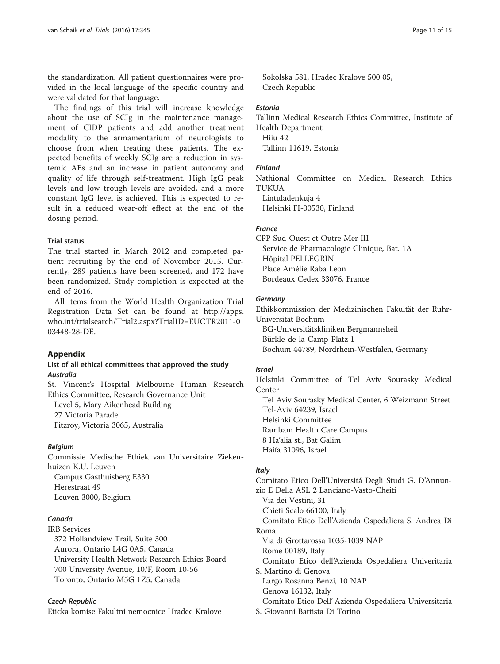<span id="page-10-0"></span>the standardization. All patient questionnaires were provided in the local language of the specific country and were validated for that language.

The findings of this trial will increase knowledge about the use of SCIg in the maintenance management of CIDP patients and add another treatment modality to the armamentarium of neurologists to choose from when treating these patients. The expected benefits of weekly SCIg are a reduction in systemic AEs and an increase in patient autonomy and quality of life through self-treatment. High IgG peak levels and low trough levels are avoided, and a more constant IgG level is achieved. This is expected to result in a reduced wear-off effect at the end of the dosing period.

# Trial status

The trial started in March 2012 and completed patient recruiting by the end of November 2015. Currently, 289 patients have been screened, and 172 have been randomized. Study completion is expected at the end of 2016.

All items from the World Health Organization Trial Registration Data Set can be found at [http://apps.](http://apps.who.int/trialsearch/Trial2.aspx?TrialID=EUCTR2011-003448-28-DE) [who.int/trialsearch/Trial2.aspx?TrialID=EUCTR2011-0](http://apps.who.int/trialsearch/Trial2.aspx?TrialID=EUCTR2011-003448-28-DE) [03448-28-DE.](http://apps.who.int/trialsearch/Trial2.aspx?TrialID=EUCTR2011-003448-28-DE)

# Appendix

# List of all ethical committees that approved the study Australia

St. Vincent's Hospital Melbourne Human Research Ethics Committee, Research Governance Unit

Level 5, Mary Aikenhead Building

27 Victoria Parade

Fitzroy, Victoria 3065, Australia

# Belgium

Commissie Medische Ethiek van Universitaire Ziekenhuizen K.U. Leuven Campus Gasthuisberg E330 Herestraat 49 Leuven 3000, Belgium

# Canada

IRB Services 372 Hollandview Trail, Suite 300 Aurora, Ontario L4G 0A5, Canada University Health Network Research Ethics Board 700 University Avenue, 10/F, Room 10-56 Toronto, Ontario M5G 1Z5, Canada

# Czech Republic

Eticka komise Fakultni nemocnice Hradec Kralove

Sokolska 581, Hradec Kralove 500 05, Czech Republic

#### Estonia

Tallinn Medical Research Ethics Committee, Institute of Health Department Hiiu 42 Tallinn 11619, Estonia

# Finland

Nathional Committee on Medical Research Ethics TUKUA Lintuladenkuja 4 Helsinki FI-00530, Finland

# France

CPP Sud-Ouest et Outre Mer III Service de Pharmacologie Clinique, Bat. 1A Hôpital PELLEGRIN Place Amélie Raba Leon Bordeaux Cedex 33076, France

#### **Germany**

Ethikkommission der Medizinischen Fakultät der Ruhr-Universität Bochum BG-Universitätskliniken Bergmannsheil Bürkle-de-la-Camp-Platz 1 Bochum 44789, Nordrhein-Westfalen, Germany

# Israel

Helsinki Committee of Tel Aviv Sourasky Medical Center Tel Aviv Sourasky Medical Center, 6 Weizmann Street Tel-Aviv 64239, Israel Helsinki Committee Rambam Health Care Campus 8 Ha'alia st., Bat Galim Haifa 31096, Israel

#### **Italy**

Comitato Etico Dell'Universitá Degli Studi G. D'Annunzio E Della ASL 2 Lanciano-Vasto-Cheiti Via dei Vestini, 31 Chieti Scalo 66100, Italy Comitato Etico Dell'Azienda Ospedaliera S. Andrea Di Roma Via di Grottarossa 1035-1039 NAP Rome 00189, Italy Comitato Etico dell'Azienda Ospedaliera Univeritaria S. Martino di Genova Largo Rosanna Benzi, 10 NAP Genova 16132, Italy Comitato Etico Dell' Azienda Ospedaliera Universitaria

S. Giovanni Battista Di Torino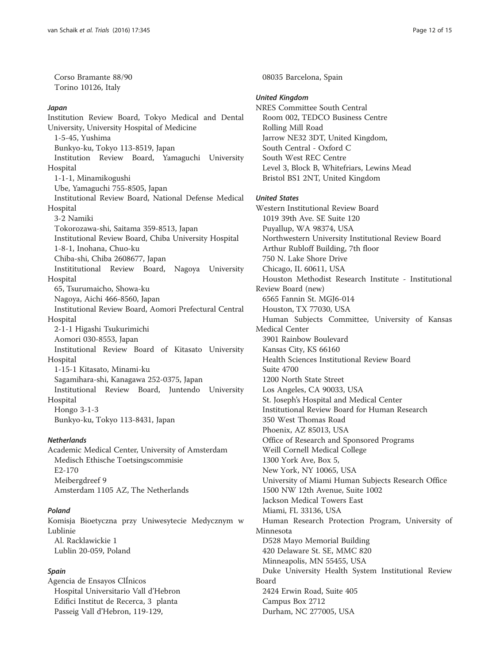#### Japan

Institution Review Board, Tokyo Medical and Dental University, University Hospital of Medicine 1-5-45, Yushima Bunkyo-ku, Tokyo 113-8519, Japan Institution Review Board, Yamaguchi University Hospital 1-1-1, Minamikogushi Ube, Yamaguchi 755-8505, Japan Institutional Review Board, National Defense Medical **Hospital** 3-2 Namiki Tokorozawa-shi, Saitama 359-8513, Japan Institutional Review Board, Chiba University Hospital 1-8-1, Inohana, Chuo-ku Chiba-shi, Chiba 2608677, Japan Instititutional Review Board, Nagoya University Hospital 65, Tsurumaicho, Showa-ku Nagoya, Aichi 466-8560, Japan Institutional Review Board, Aomori Prefectural Central Hospital 2-1-1 Higashi Tsukurimichi Aomori 030-8553, Japan Institutional Review Board of Kitasato University Hospital 1-15-1 Kitasato, Minami-ku Sagamihara-shi, Kanagawa 252-0375, Japan Institutional Review Board, Juntendo University Hospital Hongo 3-1-3 Bunkyo-ku, Tokyo 113-8431, Japan

# **Netherlands**

Academic Medical Center, University of Amsterdam Medisch Ethische Toetsingscommisie E2-170 Meibergdreef 9 Amsterdam 1105 AZ, The Netherlands

# Poland

Komisja Bioetyczna przy Uniwesytecie Medycznym w Lublinie Al. Racklawickie 1 Lublin 20-059, Poland

# Spain

Agencia de Ensayos ClÍnicos Hospital Universitario Vall d'Hebron Edifici Institut de Recerca, 3 planta Passeig Vall d'Hebron, 119-129,

08035 Barcelona, Spain

# United Kingdom

NRES Committee South Central Room 002, TEDCO Business Centre Rolling Mill Road Jarrow NE32 3DT, United Kingdom, South Central - Oxford C South West REC Centre Level 3, Block B, Whitefriars, Lewins Mead Bristol BS1 2NT, United Kingdom

#### United States

Western Institutional Review Board 1019 39th Ave. SE Suite 120 Puyallup, WA 98374, USA Northwestern University Institutional Review Board Arthur Rubloff Building, 7th floor 750 N. Lake Shore Drive Chicago, IL 60611, USA Houston Methodist Research Institute - Institutional Review Board (new) 6565 Fannin St. MGJ6-014 Houston, TX 77030, USA Human Subjects Committee, University of Kansas Medical Center 3901 Rainbow Boulevard Kansas City, KS 66160 Health Sciences Institutional Review Board Suite 4700 1200 North State Street Los Angeles, CA 90033, USA St. Joseph's Hospital and Medical Center Institutional Review Board for Human Research 350 West Thomas Road Phoenix, AZ 85013, USA Office of Research and Sponsored Programs Weill Cornell Medical College 1300 York Ave, Box 5, New York, NY 10065, USA University of Miami Human Subjects Research Office 1500 NW 12th Avenue, Suite 1002 Jackson Medical Towers East Miami, FL 33136, USA Human Research Protection Program, University of Minnesota D528 Mayo Memorial Building 420 Delaware St. SE, MMC 820 Minneapolis, MN 55455, USA Duke University Health System Institutional Review Board 2424 Erwin Road, Suite 405 Campus Box 2712 Durham, NC 277005, USA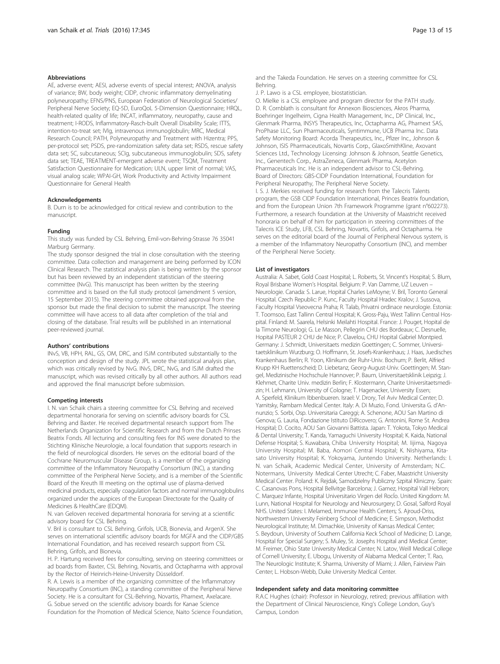#### Abbreviations

AE, adverse event; AESI, adverse events of special interest; ANOVA, analysis of variance; BW, body weight; CIDP, chronic inflammatory demyelinating polyneuropathy; EFNS/PNS, European Federation of Neurological Societies/ Peripheral Nerve Society; EQ-5D, EuroQoL 5-Dimension Questionnaire; HRQL, health-related quality of life; INCAT, inflammatory, neuropathy, cause and treatment; I-RODS, Inflammatory-Rasch-built Overall Disability Scale; ITTS, intention-to-treat set; IVIg, intravenous immunoglobulin; MRC, Medical Research Council; PATH, Polyneuropathy and Treatment with Hizentra; PPS, per-protocol set; PSDS, pre-randomization safety data set; RSDS, rescue safety data set; SC, subcutaneous; SCIg, subcutaneous immunoglobulin; SDS, safety data set; TEAE, TREATMENT-emergent adverse event; TSQM, Treatment Satisfaction Questionnaire for Medication; ULN, upper limit of normal; VAS, visual analog scale; WPAI-GH, Work Productivity and Activity Impairment Questionnaire for General Health

#### Acknowledgements

B. Durn is to be acknowledged for critical review and contribution to the manuscript.

#### Funding

This study was funded by CSL Behring, Emil-von-Behring-Strasse 76 35041 Marburg Germany.

The study sponsor designed the trial in close consultation with the steering committee. Data collection and management are being performed by ICON Clinical Research. The statistical analysis plan is being written by the sponsor but has been reviewed by an independent statistician of the steering committee (NvG). This manuscript has been written by the steering committee and is based on the full study protocol (amendment 5 version, 15 September 2015). The steering committee obtained approval from the sponsor but made the final decision to submit the manuscript. The steering committee will have access to all data after completion of the trial and closing of the database. Trial results will be published in an international peer-reviewed journal.

#### Authors' contributions

INvS, VB, HPH, RAL, GS, OM, DRC, and ISJM contributed substantially to the conception and design of the study. JPL wrote the statistical analysis plan, which was critically revised by NvG. INvS, DRC, NvG, and ISJM drafted the manuscript, which was revised critically by all other authors. All authors read and approved the final manuscript before submission.

#### Competing interests

I. N. van Schaik chairs a steering committee for CSL Behring and received departmental honoraria for serving on scientific advisory boards for CSL Behring and Baxter. He received departmental research support from The Netherlands Organization for Scientific Research and from the Dutch Prinses Beatrix Fonds. All lecturing and consulting fees for INS were donated to the Stichting Klinische Neurologie, a local foundation that supports research in the field of neurological disorders. He serves on the editorial board of the Cochrane Neuromuscular Disease Group, is a member of the organizing committee of the Inflammatory Neuropathy Consortium (INC), a standing committee of the Peripheral Nerve Society, and is a member of the Scientific Board of the Kreuth III meeting on the optimal use of plasma-derived medicinal products, especially coagulation factors and normal immunoglobulins organized under the auspices of the European Directorate for the Quality of Medicines & HealthCare (EDQM).

N. van Geloven received departmental honoraria for serving at a scientific advisory board for CSL Behring.

V. Bril is consultant to CSL Behring, Grifols, UCB, Bionevia, and ArgenX. She serves on international scientific advisory boards for MGFA and the CIDP/GBS International Foundation, and has received research support from CSL Behring, Grifols, and Bionevia.

H. P. Hartung received fees for consulting, serving on steering committees or ad boards from Baxter, CSL Behring, Novartis, and Octapharma with approval by the Rector of Heinrich-Heine-University Düsseldorf.

R. A. Lewis is a member of the organizing committee of the Inflammatory Neuropathy Consortium (INC), a standing committee of the Peripheral Nerve Society. He is a consultant for CSL-Behring, Novartis, Pharnext, Axelacare. G. Sobue served on the scientific advisory boards for Kanae Science Foundation for the Promotion of Medical Science, Naito Science Foundation, and the Takeda Foundation. He serves on a steering committee for CSL Behring.

J. P. Lawo is a CSL employee, biostatistician.

O. Mielke is a CSL employee and program director for the PATH study. D. R. Cornblath is consultant for Annexon Biosciences, Akros Pharma, Boehringer Ingelheim, Cigna Health Management, Inc., DP Clinical, Inc., Glenmark Pharma, INSYS Therapeutics, Inc, Octapharma AG, Pharnext SAS, ProPhase LLC, Sun Pharmaceuticals, Syntimmune, UCB Pharma Inc. Data Safety Monitoring Board: Acorda Therapeutics, Inc., Pfizer Inc., Johnson & Johnson, ISIS Pharmaceuticals, Novartis Corp., GlaxoSmithKline, Axovant Sciences Ltd., Technology Licensing: Johnson & Johnson, Seattle Genetics, Inc., Genentech Corp., AstraZeneca, Glenmark Pharma, Acetylon Pharmaceuticals Inc. He is an independent advisor to CSL-Behring. Board of Directors: GBS-CIDP Foundation International, Foundation for Peripheral Neuropathy, The Peripheral Nerve Society.

I. S. J. Merkies received funding for research from the Talecris Talents program, the GSB CIDP Foundation International, Princes Beatrix foundation, and from the European Union 7th Framework Programme (grant n°602273). Furthermore, a research foundation at the University of Maastricht received honoraria on behalf of him for participation in steering committees of the Talecris ICE Study, LFB, CSL Behring, Novartis, Grifols, and Octapharma. He serves on the editorial board of the Journal of Peripheral Nervous system, is a member of the Inflammatory Neuropathy Consortium (INC), and member of the Peripheral Nerve Society.

#### List of investigators

Australia: A. Sabet, Gold Coast Hospital; L. Roberts, St. Vincent's Hospital; S. Blum, Royal Brisbane Women's Hospital. Belgium: P. Van Damme, UZ Leuven – Neurologie. Canada: S. Larue, Hopital Charles LeMoyne; V. Bril, Toronto General Hospital. Czech Republic: P. Kunc, Faculty Hospital Hradec Kralov; J. Sussova, Faculty Hospital Vseovecna Praha; R. Talab, Privatni ordinace neurologie. Estonia: T. Toomsoo, East Tallinn Central Hospital; K. Gross-Paju, West Tallinn Central Hospital. Finland: M. Saarela, Helsinki Meilahti Hospital. France: J. Pouget, Hopital de la Timone Neurologi; G. Le Masson, Pellegrin CHU des Bordeaux; C. Desnuelle, Hopital PASTEUR 2 CHU de Nice; P. Clavelou, CHU Hopital Gabriel Montpied. Germany: J. Schmidt, Universitaets medizin Goettingen; C. Sommer, Universitaetsklinikum Wurzburg; O. Hoffmann, St. Josefs-Krankenhaus; J. Haas, Juedisches Krankenhaus Berlin; R. Yoon, Klinikum der Ruhr-Univ. Bochum; P. Berlit, Alfried Krupp KH Ruettenscheid; D. Liebetanz, Georg-August-Univ. Goettingen; M. Stangel, Medizinische Hochschule Hannover; P. Baum, Universitaetsklinik Leipzig; J. Klehmet, Charite Univ. medizin Berlin; F. Klostermann, Charite Universitaetsmedizin; H. Lehmann, University of Cologne; T. Hagenacker, University Essen; A. Sperfeld, Klinikum Ibbenbueren. Israel: V. Drory, Tel Aviv Medical Center; D. Yarnitsky, Rambam Medical Center. Italy: A. Di Muzio, Fond. Universita G. d'Annunzio; S. Sorbi, Osp. Universitaria Careggi; A. Schenone, AOU San Martino di Genova; G. Lauria, Fondazione Istituto DiRicovero; G. Antonini, Rome St. Andrea Hospital; D. Cocito, AOU San Giovanni Battista. Japan: T. Yokota, Tokyo Medical & Dental University; T. Kanda, Yamaguchi University Hospital; K. Kaida, National Defense Hospital; S. Kuwabara, Chiba University Hospital; M. Iijima, Nagoya University Hospital; M. Baba, Aomori Central Hospital; K. Nishiyama, Kitasato University Hospital; K. Yokoyama, Juntendo University. Netherlands: I. N. van Schaik, Academic Medical Center, University of Amsterdam; N.C. Notermans, University Medical Center Utrecht; C. Faber, Maastricht University Medical Center. Poland: K. Rejdak, Samodzielny Publiczny Szpital Kliniczny. Spain: C. Casanovas Pons, Hospital Bellvitge Barcelona; J. Gamez, Hospital Vall Hebron; C. Marquez Infante, Hospital Universitario Virgen del RocÍo. United Kingdom: M. Lunn, National Hospital for Neurology and Neurosurgery; D. Gosal, Salford Royal NHS. United States: I. Melamed, Immunoe Health Centers; S. Ajroud-Driss, Northwestern University Feinberg School of Medicine; E. Simpson, Methodist Neurological Institute; M. Dimachkie, University of Kansas Medical Center; S. Beydoun, University of Southern California Keck School of Medicine; D. Lange, Hospital for Special Surgery; S. Muley, St. Josephs Hospital and Medical Center; M. Freimer, Ohio State University Medical Center; N. Latov, Weill Medical College of Cornell University; E. Ubogu, University of Alabama Medical Center; T. Rao, The Neurologic Institute; K. Sharma, University of Miami; J. Allen, Fairview Pain Center; L. Hobson-Webb, Duke University Medical Center.

#### Independent safety and data monitoring committee

R.A.C Hughes (chair): Professor in Neurology, retired; previous affiliation with the Department of Clinical Neuroscience, King's College London, Guy's Campus, London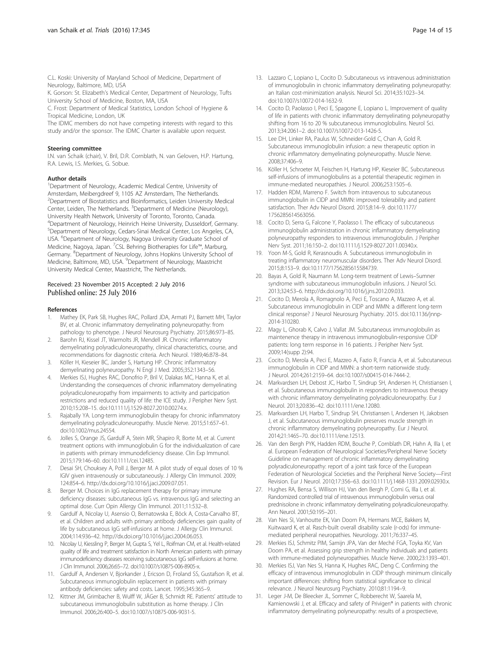<span id="page-13-0"></span>C.L. Koski: University of Maryland School of Medicine, Department of Neurology, Baltimore, MD, USA

K. Gorson: St. Elizabeth's Medical Center, Department of Neurology, Tufts University School of Medicine, Boston, MA, USA

C. Frost: Department of Medical Statistics, London School of Hygiene & Tropical Medicine, London, UK

The IDMC members do not have competing interests with regard to this study and/or the sponsor. The IDMC Charter is available upon request.

#### Steering committee

I.N. van Schaik (chair), V. Bril, D.R. Cornblath, N. van Geloven, H.P. Hartung, R.A. Lewis, I.S. Merkies, G. Sobue.

#### Author details

<sup>1</sup>Department of Neurology, Academic Medical Centre, University of Amsterdam, Meibergdreef 9, 1105 AZ Amsterdam, The Netherlands. <sup>2</sup> Department of Biostatistics and Bioinformatics, Leiden University Medical Center, Leiden, The Netherlands. <sup>3</sup>Department of Medicine (Neurology), University Health Network, University of Toronto, Toronto, Canada. 4 Department of Neurology, Heinrich Heine University, Dusseldorf, Germany. 5 Department of Neurology, Cedars-Sinai Medical Center, Los Angeles, CA, USA. <sup>6</sup> Department of Neurology, Nagoya University Graduate School of Medicine, Nagoya, Japan. <sup>7</sup>CSL Behring Biotherapies for Life™, Marburg, Germany. <sup>8</sup>Department of Neurology, Johns Hopkins University School of Medicine, Baltimore, MD, USA. <sup>9</sup>Department of Neurology, Maastricht University Medical Center, Maastricht, The Netherlands.

#### Received: 23 November 2015 Accepted: 2 July 2016 Published online: 25 July 2016

#### References

- 1. Mathey EK, Park SB, Hughes RAC, Pollard JDA, Armati PJ, Barnett MH, Taylor BV, et al. Chronic inflammatory demyelinating polyneuropathy: from pathology to phenotype. J Neurol Neurosurg Psychiatry. 2015;86:973–85.
- 2. Barohn RJ, Kissel JT, Warmolts JR, Mendell JR. Chronic inflammatory demyelinating polyradiculoneuropathy, clinical characteristics, course, and recommendations for diagnostic criteria. Arch Neurol. 1989;46:878–84.
- 3. Köller H, Kieseier BC, Jander S, Hartung HP. Chronic inflammatory demyelinating polyneuropathy. N Engl J Med. 2005;352:1343–56.
- 4. Merkies ISJ, Hughes RAC, Donofrio P, Bril V, Dalakas MC, Hanna K, et al. Understanding the consequences of chronic inflammatory demyelinating polyradiculoneuropathy from impairments to activity and participation restrictions and reduced quality of life: the ICE study. J Peripher Nerv Syst. 2010;15:208–15. doi:[10.1111/j.1529-8027.2010.00274.x](http://dx.doi.org/10.1111/j.1529-8027.2010.00274.x).
- Rajabally YA. Long-term immunoglobulin therapy for chronic inflammatory demyelinating polyradiculoneuropathy. Muscle Nerve. 2015;51:657–61. doi[:10.1002/mus.24554](http://dx.doi.org/10.1002/mus.24554).
- Jolles S, Orange JS, Gardulf A, Stein MR, Shapiro R, Borte M, et al. Current treatment options with immunoglobulin G for the individualization of care in patients with primary immunodeficiency disease. Clin Exp Immunol. 2015;179:146–60. doi[:10.1111/cei.12485.](http://dx.doi.org/10.1111/cei.12485)
- 7. Desai SH, Chouksey A, Poll J, Berger M. A pilot study of equal doses of 10 % IGIV given intravenously or subcutaneously. J Allergy Clin Immunol. 2009; 124:854–6. http://dx.doi.org[/10.1016/j.jaci.2009.07.051.](http://dx.doi.org/10.1016/j.jaci.2009.07.051)
- 8. Berger M. Choices in IgG replacement therapy for primary immune deficiency diseases: subcutaneous IgG vs. intravenous IgG and selecting an optimal dose. Curr Opin Allergy Clin Immunol. 2011;11:532–8.
- Gardulf A, Nicolay U, Asensio O, Bernatowska E, Böck A, Costa-Carvalho BT, et al. Children and adults with primary antibody deficiencies gain quality of life by subcutaneous IgG self-infusions at home. J Allergy Clin Immunol. 2004;114:936–42. http://dx.doi.org[/10.1016/j.jaci.2004.06.053.](http://dx.doi.org/10.1016/j.jaci.2004.06.053)
- 10. Nicolay U, Kiessling P, Berger M, Gupta S, Yel L, Roifman CM, et al. Health-related quality of life and treatment satisfaction in North American patients with primary immunodeficiency diseases receiving subcutaneous IgG self-infusions at home. J Clin Immunol. 2006;26:65–72. doi[:10.1007/s10875-006-8905-x](http://dx.doi.org/10.1007/s10875-006-8905-x).
- 11. Gardulf A, Andersen V, Bjorkander J, Ericson D, Froland SS, Gustafson R, et al. Subcutaneous immunoglobulin replacement in patients with primary antibody deficiencies: safety and costs. Lancet. 1995;345:365–9.
- 12. Kittner JM, Grimbacher B, Wulff W, JÄGer B, Schmidt RE. Patients' attitude to subcutaneous immunoglobulin substitution as home therapy. J Clin Immunol. 2006;26:400–5. doi:[10.1007/s10875-006-9031-5.](http://dx.doi.org/10.1007/s10875-006-9031-5)
- 13. Lazzaro C, Lopiano L, Cocito D. Subcutaneous vs intravenous administration of immunoglobulin in chronic inflammatory demyelinating polyneuropathy: an Italian cost-minimization analysis. Neurol Sci. 2014;35:1023–34. doi[:10.1007/s10072-014-1632-9](http://dx.doi.org/10.1007/s10072-014-1632-9).
- 14. Cocito D, Paolasso I, Peci E, Spagone E, Lopiano L. Improvement of quality of life in patients with chronic inflammatory demyelinating polyneuropathy shifting from 16 to 20 % subcutaneous immunoglobulins. Neurol Sci. 2013;34:2061–2. doi:[10.1007/s10072-013-1426-5](http://dx.doi.org/10.1007/s10072-013-1426-5).
- 15. Lee DH, Linker RA, Paulus W, Schneider-Gold C, Chan A, Gold R. Subcutaneous immunoglobulin infusion: a new therapeutic option in chronic inflammatory demyelinating polyneuropathy. Muscle Nerve. 2008;37:406–9.
- 16. Köller H, Schroeter M, Feischen H, Hartung HP, Kieseier BC. Subcutaneous self-infusions of immunoglobulins as a potential therapeutic regimen in immune-mediated neuropathies. J Neurol. 2006;253:1505–6.
- 17. Hadden RDM, Marreno F. Switch from intravenous to subcutaneous immunoglobulin in CIDP and MMN: improved tolerability and patient satisfaction. Ther Adv Neurol Disord. 2015;8:14–9. doi[:10.1177/](http://dx.doi.org/10.1177/1756285614563056) [1756285614563056](http://dx.doi.org/10.1177/1756285614563056).
- 18. Cocito D, Serra G, Falcone Y, Paolasso I. The efficacy of subcutaneous immunoglobulin administration in chronic inflammatory demyelinating polyneuropathy responders to intravenous immunoglobulin. J Peripher Nerv Syst. 2011;16:150–2. doi[:10.1111/j.1529-8027.2011.00340.x.](http://dx.doi.org/10.1111/j.1529-8027.2011.00340.x)
- 19. Yoon M-S, Gold R, Kerasnoudis A. Subcutaneous immunoglobulin in treating inflammatory neuromuscular disorders. Ther Adv Neurol Disord. 2015;8:153–9. doi[:10.1177/1756285615584739.](http://dx.doi.org/10.1177/1756285615584739)
- 20. Bayas A, Gold R, Naumann M. Long-term treatment of Lewis–Sumner syndrome with subcutaneous immunoglobulin infusions. J Neurol Sci. 2013;324:53–6. http://dx.doi.org/[10.1016/j.jns.2012.09.033.](http://dx.doi.org/10.1016/j.jns.2012.09.033)
- 21. Cocito D, Merola A, Romagnolo A, Peci E, Toscano A, Mazzeo A, et al. Subcutaneous immunoglobulin in CIDP and MMN: a different long-term clinical response? J Neurol Neurosurg Psychiatry. 2015. doi:[10.1136/jnnp-](http://dx.doi.org/10.1136/jnnp-2014-310280)[2014-310280.](http://dx.doi.org/10.1136/jnnp-2014-310280)
- 22. Magy L, Ghorab K, Calvo J, Vallat JM. Subcutaneous immunoglobulin as maintenence therapy in intravenous immunoglobulin-responsive CIDP patients: long term response in 16 patients. J Peripher Nerv Syst. 2009;14(supp 2):94.
- 23. Cocito D, Merola A, Peci E, Mazzeo A, Fazio R, Francia A, et al. Subcutaneous immunoglobulin in CIDP and MMN: a short-term nationwide study. J Neurol. 2014;261:2159–64. doi:[10.1007/s00415-014-7444-2.](http://dx.doi.org/10.1007/s00415-014-7444-2)
- 24. Markvardsen LH, Debost JC, Harbo T, Sindrup SH, Andersen H, Christiansen I, et al. Subcutaneous immunoglobulin in responders to intravenous therapy with chronic inflammatory demyelinating polyradiculoneuropathy. Eur J Neurol. 2013;20:836–42. doi[:10.1111/ene.12080](http://dx.doi.org/10.1111/ene.12080).
- 25. Markvardsen LH, Harbo T, Sindrup SH, Christiansen I, Andersen H, Jakobsen J, et al. Subcutaneous immunoglobulin preserves muscle strength in chronic inflammatory demyelinating polyneuropathy. Eur J Neurol. 2014;21:1465–70. doi[:10.1111/ene.12513](http://dx.doi.org/10.1111/ene.12513).
- 26. Van den Bergh PYK, Hadden RDM, Bouche P, Cornblath DR, Hahn A, Illa I, et al. European Federation of Neurological Societies/Peripheral Nerve Society Guideline on management of chronic inflammatory demyelinating polyradiculoneuropathy: report of a joint task force of the European Federation of Neurological Societies and the Peripheral Nerve Society—First Revision. Eur J Neurol. 2010;17:356–63. doi:[10.1111/j.1468-1331.2009.02930.x.](http://dx.doi.org/10.1111/j.1468-1331.2009.02930.x)
- 27. Hughes RA, Bensa S, Willison HJ, Van den Bergh P, Comi G, Illa I, et al. Randomized controlled trial of intravenous immunoglobulin versus oral prednisolone in chronic inflammatory demyelinating polyradiculoneuropathy. Ann Neurol. 2001;50:195–201.
- 28. Van Nes SI, Vanhoutte EK, Van Doorn PA, Hermans MCE, Bakkers M, Kuitwaard K, et al. Rasch-built overall disability scale (r-ods) for immunemediated peripheral neuropathies. Neurology. 2011;76:337–45.
- 29. Merkies ISJ, Schmitz PIM, Samijn JPA, Van der Meché FGA, Toyka KV, Van Doorn PA, et al. Assessing grip strength in healthy individuals and patients with immune-mediated polyneuropathies. Muscle Nerve. 2000;23:1393–401.
- 30. Merkies ISJ, Van Nes SI, Hanna K, Hughes RAC, Deng C. Confirming the efficacy of intravenous immunoglobulin in CIDP through minimum clinically important differences: shifting from statistical significance to clinical relevance. J Neurol Neurosurg Psychiatry. 2010;81:1194–9.
- 31. Leger J-M, De Bleecker JL, Sommer C, Robberecht W, Saarela M, Kamienowski J, et al. Efficacy and safety of Privigen® in patients with chronic inflammatory demyelinating polyneuropathy: results of a prospectieve,